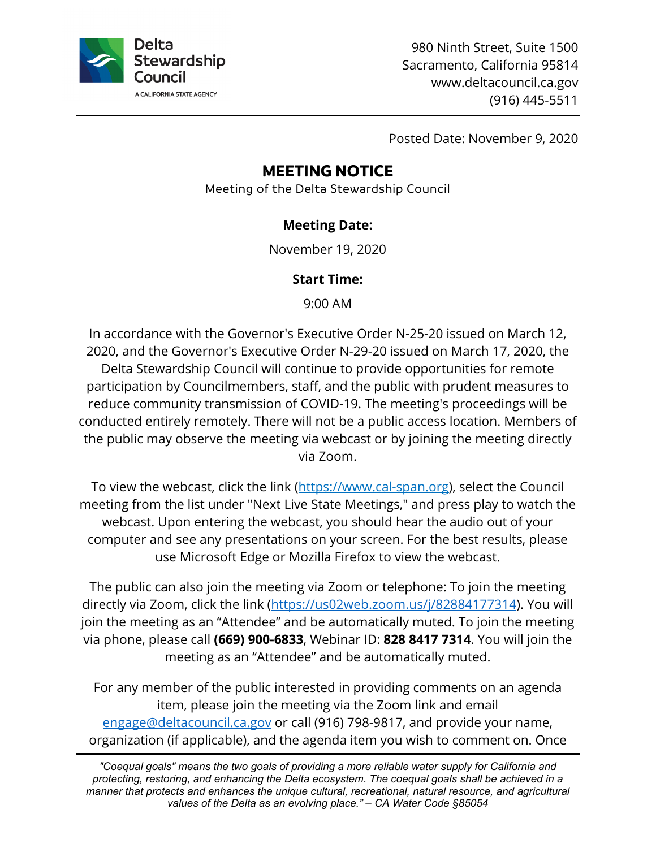

980 Ninth Street, Suite 1500 Sacramento, California 95814 www.deltacouncil.ca.gov (916) 445-5511

Posted Date: November 9, 2020

# **MEETING NOTICE**

Meeting of the Delta Stewardship Council

### **Meeting Date:**

November 19, 2020

### **Start Time:**

9:00 AM

In accordance with the Governor's Executive Order N-25-20 issued on March 12, 2020, and the Governor's Executive Order N-29-20 issued on March 17, 2020, the Delta Stewardship Council will continue to provide opportunities for remote participation by Councilmembers, staff, and the public with prudent measures to reduce community transmission of COVID-19. The meeting's proceedings will be conducted entirely remotely. There will not be a public access location. Members of the public may observe the meeting via webcast or by joining the meeting directly via Zoom.

To view the webcast, click the link [\(https://www.cal-span.org\)](https://www.cal-span.org/), select the Council meeting from the list under "Next Live State Meetings," and press play to watch the webcast. Upon entering the webcast, you should hear the audio out of your computer and see any presentations on your screen. For the best results, please use Microsoft Edge or Mozilla Firefox to view the webcast.

The public can also join the meeting via Zoom or telephone: To join the meeting directly via Zoom, click the link [\(https://us02web.zoom.us/j/82884177314\)](https://us02web.zoom.us/j/82884177314). You will join the meeting as an "Attendee" and be automatically muted. To join the meeting via phone, please call **(669) 900-6833**, Webinar ID: **828 8417 7314**. You will join the meeting as an "Attendee" and be automatically muted.

For any member of the public interested in providing comments on an agenda item, please join the meeting via the Zoom link and email [engage@deltacouncil.ca.gov](mailto:engage@deltacouncil.ca.gov) or call (916) 798-9817, and provide your name, organization (if applicable), and the agenda item you wish to comment on. Once

*"Coequal goals" means the two goals of providing a more reliable water supply for California and protecting, restoring, and enhancing the Delta ecosystem. The coequal goals shall be achieved in a manner that protects and enhances the unique cultural, recreational, natural resource, and agricultural values of the Delta as an evolving place." – CA Water Code §85054*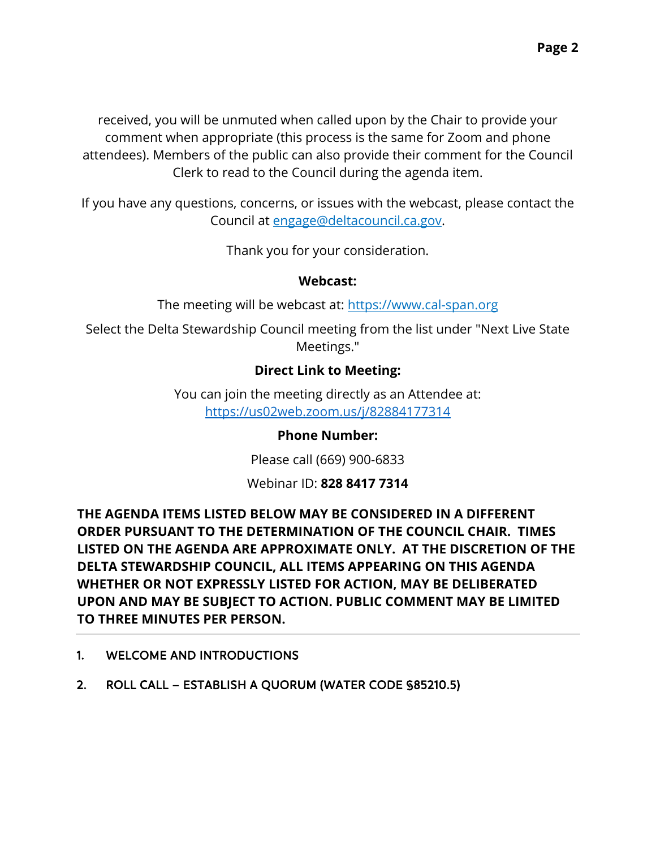received, you will be unmuted when called upon by the Chair to provide your comment when appropriate (this process is the same for Zoom and phone attendees). Members of the public can also provide their comment for the Council Clerk to read to the Council during the agenda item.

If you have any questions, concerns, or issues with the webcast, please contact the Council at [engage@deltacouncil.ca.gov.](mailto:engage@deltacouncil.ca.gov)

Thank you for your consideration.

#### **Webcast:**

The meeting will be webcast at: [https://www.cal-span.org](https://www.cal-span.org/)

Select the Delta Stewardship Council meeting from the list under "Next Live State Meetings."

### **Direct Link to Meeting:**

You can join the meeting directly as an Attendee at: <https://us02web.zoom.us/j/82884177314>

### **Phone Number:**

Please call (669) 900-6833

Webinar ID: **828 8417 7314**

**THE AGENDA ITEMS LISTED BELOW MAY BE CONSIDERED IN A DIFFERENT ORDER PURSUANT TO THE DETERMINATION OF THE COUNCIL CHAIR. TIMES LISTED ON THE AGENDA ARE APPROXIMATE ONLY. AT THE DISCRETION OF THE DELTA STEWARDSHIP COUNCIL, ALL ITEMS APPEARING ON THIS AGENDA WHETHER OR NOT EXPRESSLY LISTED FOR ACTION, MAY BE DELIBERATED UPON AND MAY BE SUBJECT TO ACTION. PUBLIC COMMENT MAY BE LIMITED TO THREE MINUTES PER PERSON.** 

- 1. WELCOME AND INTRODUCTIONS
- 2. ROLL CALL ESTABLISH A QUORUM (WATER CODE §85210.5)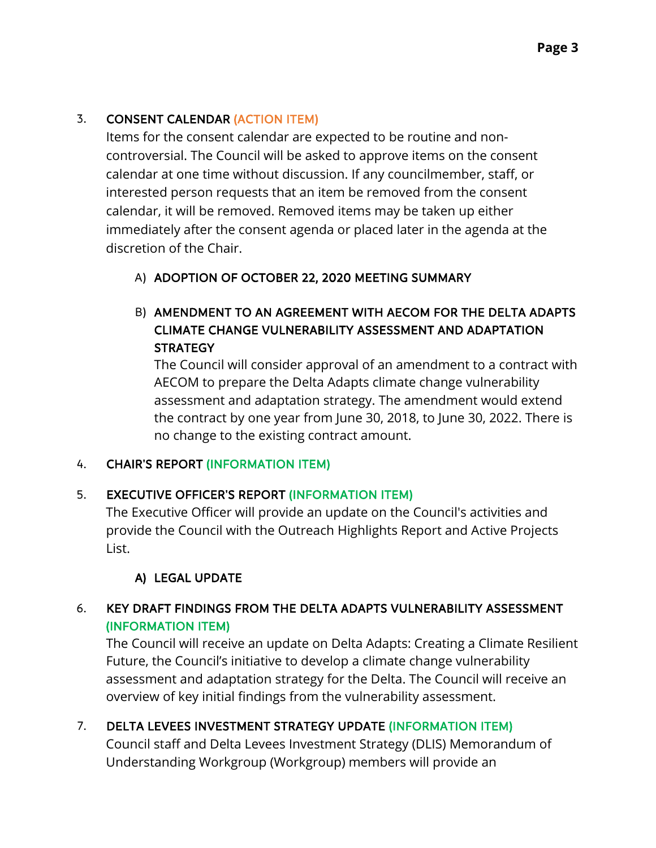## 3. CONSENT CALENDAR (ACTION ITEM)

Items for the consent calendar are expected to be routine and noncontroversial. The Council will be asked to approve items on the consent calendar at one time without discussion. If any councilmember, staff, or interested person requests that an item be removed from the consent calendar, it will be removed. Removed items may be taken up either immediately after the consent agenda or placed later in the agenda at the discretion of the Chair.

### A) ADOPTION OF OCTOBER 22, 2020 MEETING SUMMARY

### B) AMENDMENT TO AN AGREEMENT WITH AECOM FOR THE DELTA ADAPTS CLIMATE CHANGE VULNERABILITY ASSESSMENT AND ADAPTATION **STRATEGY**

The Council will consider approval of an amendment to a contract with AECOM to prepare the Delta Adapts climate change vulnerability assessment and adaptation strategy. The amendment would extend the contract by one year from June 30, 2018, to June 30, 2022. There is no change to the existing contract amount.

### 4. CHAIR'S REPORT (INFORMATION ITEM)

### 5. EXECUTIVE OFFICER'S REPORT (INFORMATION ITEM)

The Executive Officer will provide an update on the Council's activities and provide the Council with the Outreach Highlights Report and Active Projects List.

### A) LEGAL UPDATE

### 6. KEY DRAFT FINDINGS FROM THE DELTA ADAPTS VULNERABILITY ASSESSMENT (INFORMATION ITEM)

The Council will receive an update on Delta Adapts: Creating a Climate Resilient Future, the Council's initiative to develop a climate change vulnerability assessment and adaptation strategy for the Delta. The Council will receive an overview of key initial findings from the vulnerability assessment.

### 7. DELTA LEVEES INVESTMENT STRATEGY UPDATE (INFORMATION ITEM)

Council staff and Delta Levees Investment Strategy (DLIS) Memorandum of Understanding Workgroup (Workgroup) members will provide an